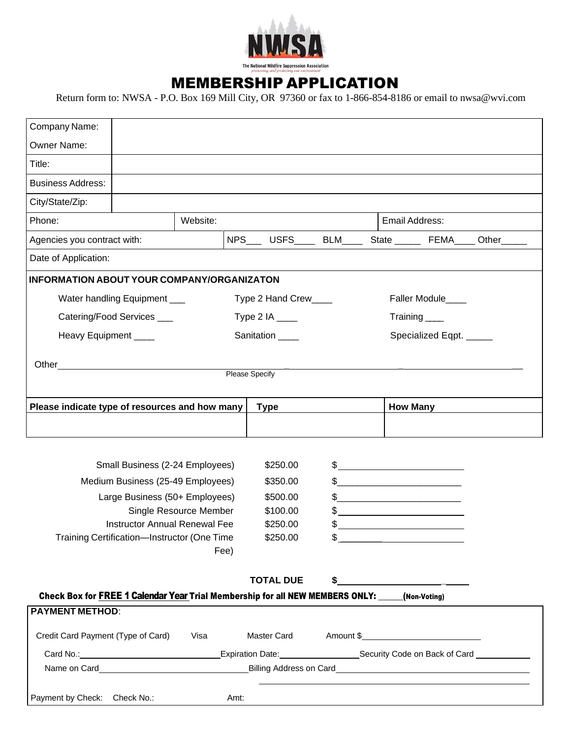

## MEMBERSHIP APPLICATION

Return form to: NWSA - P.O. Box 169 Mill City, OR 97360 or fax to 1-866-854-8186 or email to nwsa@wvi.com

| Company Name:                                                                                  |                                 |          |                       |           |                                                 |                                                              |  |
|------------------------------------------------------------------------------------------------|---------------------------------|----------|-----------------------|-----------|-------------------------------------------------|--------------------------------------------------------------|--|
| Owner Name:                                                                                    |                                 |          |                       |           |                                                 |                                                              |  |
| Title:                                                                                         |                                 |          |                       |           |                                                 |                                                              |  |
| <b>Business Address:</b>                                                                       |                                 |          |                       |           |                                                 |                                                              |  |
| City/State/Zip:                                                                                |                                 |          |                       |           |                                                 |                                                              |  |
| Phone:                                                                                         |                                 | Website: |                       |           |                                                 | Email Address:                                               |  |
| Agencies you contract with:                                                                    |                                 |          |                       |           |                                                 | NPS____ USFS_____ BLM_____ State ______ FEMA____ Other______ |  |
| Date of Application:                                                                           |                                 |          |                       |           |                                                 |                                                              |  |
| <b>INFORMATION ABOUT YOUR COMPANY/ORGANIZATON</b>                                              |                                 |          |                       |           |                                                 |                                                              |  |
|                                                                                                | Water handling Equipment ___    |          | Type 2 Hand Crew      |           |                                                 | Faller Module____                                            |  |
| Catering/Food Services ___                                                                     |                                 |          | Type 2 IA $\_\_\_\_\$ |           |                                                 | Training                                                     |  |
| Heavy Equipment ____                                                                           |                                 |          | Sanitation ____       |           |                                                 | Specialized Eqpt. _____                                      |  |
|                                                                                                |                                 |          |                       |           |                                                 |                                                              |  |
|                                                                                                |                                 |          | Please Specify        |           |                                                 |                                                              |  |
|                                                                                                |                                 |          |                       |           |                                                 |                                                              |  |
| Please indicate type of resources and how many                                                 |                                 |          | <b>Type</b>           |           |                                                 | <b>How Many</b>                                              |  |
|                                                                                                |                                 |          |                       |           |                                                 |                                                              |  |
|                                                                                                |                                 |          |                       |           |                                                 |                                                              |  |
|                                                                                                | Small Business (2-24 Employees) |          | \$250.00              |           | $\frac{1}{2}$                                   |                                                              |  |
| Medium Business (25-49 Employees)                                                              |                                 |          | \$350.00              |           | $\frac{1}{2}$                                   |                                                              |  |
| Large Business (50+ Employees)                                                                 |                                 |          | \$500.00              |           | $\frac{1}{2}$                                   |                                                              |  |
| Single Resource Member<br><b>Instructor Annual Renewal Fee</b>                                 |                                 |          | \$100.00<br>\$250.00  | \$<br>\$. |                                                 |                                                              |  |
| Training Certification-Instructor (One Time                                                    |                                 |          | \$250.00              | \$        |                                                 |                                                              |  |
|                                                                                                |                                 | Fee)     |                       |           |                                                 |                                                              |  |
|                                                                                                |                                 |          |                       |           |                                                 |                                                              |  |
| Check Box for FREE 1 Calendar Year Trial Membership for all NEW MEMBERS ONLY: ____(Non-Voting) |                                 |          | <b>TOTAL DUE</b>      | \$        | <u> 1980 - Jan Samuel Barbara, politik a po</u> |                                                              |  |
| <b>PAYMENT METHOD:</b>                                                                         |                                 |          |                       |           |                                                 |                                                              |  |
| Credit Card Payment (Type of Card)                                                             |                                 |          |                       |           |                                                 |                                                              |  |
|                                                                                                |                                 | Visa     | Master Card           |           |                                                 |                                                              |  |
|                                                                                                |                                 |          |                       |           |                                                 |                                                              |  |
|                                                                                                |                                 |          |                       |           |                                                 |                                                              |  |
| Payment by Check: Check No.:                                                                   |                                 |          | Amt:                  |           |                                                 |                                                              |  |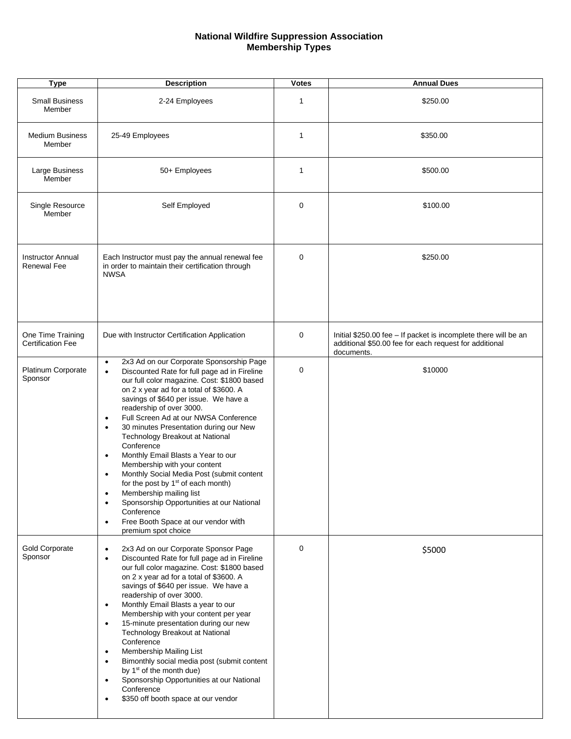## **National Wildfire Suppression Association Membership Types**

| <b>Type</b>                                    | <b>Description</b>                                                                                                                                                                                                                                                                                                                                                                                                                                                                                                                                                                                                                                                                                                                                                                                 | <b>Votes</b> | <b>Annual Dues</b>                                                                                                                      |
|------------------------------------------------|----------------------------------------------------------------------------------------------------------------------------------------------------------------------------------------------------------------------------------------------------------------------------------------------------------------------------------------------------------------------------------------------------------------------------------------------------------------------------------------------------------------------------------------------------------------------------------------------------------------------------------------------------------------------------------------------------------------------------------------------------------------------------------------------------|--------------|-----------------------------------------------------------------------------------------------------------------------------------------|
| <b>Small Business</b><br>Member                | 2-24 Employees                                                                                                                                                                                                                                                                                                                                                                                                                                                                                                                                                                                                                                                                                                                                                                                     | 1            | \$250.00                                                                                                                                |
| <b>Medium Business</b><br>Member               | 25-49 Employees                                                                                                                                                                                                                                                                                                                                                                                                                                                                                                                                                                                                                                                                                                                                                                                    | 1            | \$350.00                                                                                                                                |
| Large Business<br>Member                       | 50+ Employees                                                                                                                                                                                                                                                                                                                                                                                                                                                                                                                                                                                                                                                                                                                                                                                      | 1            | \$500.00                                                                                                                                |
| Single Resource<br>Member                      | Self Employed                                                                                                                                                                                                                                                                                                                                                                                                                                                                                                                                                                                                                                                                                                                                                                                      | $\mathbf 0$  | \$100.00                                                                                                                                |
| <b>Instructor Annual</b><br><b>Renewal Fee</b> | Each Instructor must pay the annual renewal fee<br>in order to maintain their certification through<br><b>NWSA</b>                                                                                                                                                                                                                                                                                                                                                                                                                                                                                                                                                                                                                                                                                 | 0            | \$250.00                                                                                                                                |
| One Time Training<br><b>Certification Fee</b>  | Due with Instructor Certification Application                                                                                                                                                                                                                                                                                                                                                                                                                                                                                                                                                                                                                                                                                                                                                      | 0            | Initial \$250.00 fee - If packet is incomplete there will be an<br>additional \$50.00 fee for each request for additional<br>documents. |
| Platinum Corporate<br>Sponsor                  | 2x3 Ad on our Corporate Sponsorship Page<br>$\bullet$<br>Discounted Rate for full page ad in Fireline<br>$\bullet$<br>our full color magazine. Cost: \$1800 based<br>on 2 x year ad for a total of \$3600. A<br>savings of \$640 per issue. We have a<br>readership of over 3000.<br>Full Screen Ad at our NWSA Conference<br>$\bullet$<br>30 minutes Presentation during our New<br>$\bullet$<br>Technology Breakout at National<br>Conference<br>Monthly Email Blasts a Year to our<br>$\bullet$<br>Membership with your content<br>Monthly Social Media Post (submit content<br>for the post by 1 <sup>st</sup> of each month)<br>Membership mailing list<br>Sponsorship Opportunities at our National<br>Conference<br>Free Booth Space at our vendor with<br>$\bullet$<br>premium spot choice | 0            | \$10000                                                                                                                                 |
| <b>Gold Corporate</b><br>Sponsor               | 2x3 Ad on our Corporate Sponsor Page<br>$\bullet$<br>Discounted Rate for full page ad in Fireline<br>$\bullet$<br>our full color magazine. Cost: \$1800 based<br>on 2 x year ad for a total of \$3600. A<br>savings of \$640 per issue. We have a<br>readership of over 3000.<br>Monthly Email Blasts a year to our<br>$\bullet$<br>Membership with your content per year<br>15-minute presentation during our new<br>$\bullet$<br>Technology Breakout at National<br>Conference<br>Membership Mailing List<br>$\bullet$<br>Bimonthly social media post (submit content<br>$\bullet$<br>by 1 <sup>st</sup> of the month due)<br>Sponsorship Opportunities at our National<br>Conference<br>\$350 off booth space at our vendor                                                                     | $\mathbf 0$  | \$5000                                                                                                                                  |